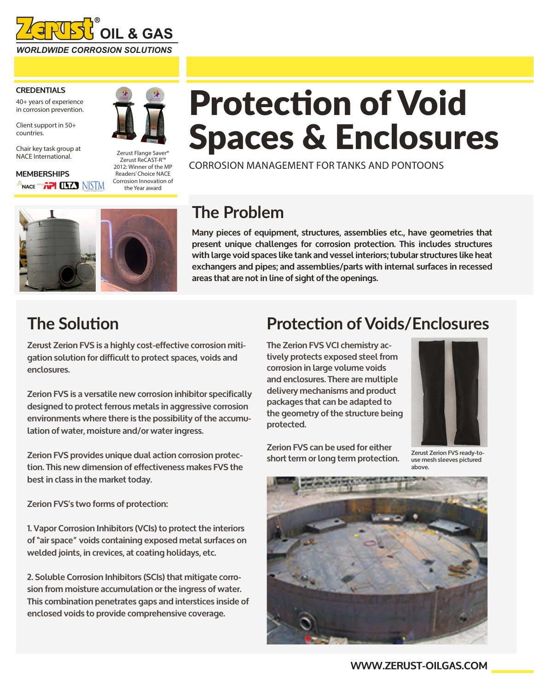

#### **CREDENTIALS**

40+ years of experience in corrosion prevention.

Client support in 50+ countries.

Chair key task group at NACE International.

**MEMBERSHIPS** <sup>A</sup>nace <sup>660</sup>/**\PI** (LTA) NISTM



Zerust Flange Saver<sup>®</sup> Zerust ReCAST-R™ 2012: Winner of the MP Readers' Choice NACE Corrosion Innovation of the Year award

# Protection of Void Spaces & Enclosures

CORROSION MANAGEMENT FOR TANKS AND PONTOONS



## **The Problem**

**Many pieces of equipment, structures, assemblies etc., have geometries that present unique challenges for corrosion protection. This includes structures with large void spaces like tank and vessel interiors; tubular structures like heat exchangers and pipes; and assemblies/parts with internal surfaces in recessed areas that are not in line of sight of the openings.** 

#### **The Solution**

**Zerust Zerion FVS is a highly cost-effective corrosion mitigation solution for difficult to protect spaces, voids and enclosures.** 

**Zerion FVS is a versatile new corrosion inhibitor specifically designed to protect ferrous metals in aggressive corrosion environments where there is the possibility of the accumulation of water, moisture and/or water ingress.** 

**Zerion FVS provides unique dual action corrosion protection. This new dimension of effectiveness makes FVS the best in class in the market today.**

**Zerion FVS's two forms of protection:**

**1. Vapor Corrosion Inhibitors (VCIs) to protect the interiors of "air space" voids containing exposed metal surfaces on welded joints, in crevices, at coating holidays, etc.** 

**2. Soluble Corrosion Inhibitors (SCIs) that mitigate corrosion from moisture accumulation or the ingress of water. This combination penetrates gaps and interstices inside of enclosed voids to provide comprehensive coverage.**

#### **Protection of Voids/Enclosures**

**The Zerion FVS VCI chemistry actively protects exposed steel from corrosion in large volume voids and enclosures. There are multiple delivery mechanisms and product packages that can be adapted to the geometry of the structure being protected.** 

**Zerion FVS can be used for either** 



**short term or long term protection. Zerust Zerion FVS ready-touse mesh sleeves pictured above.**